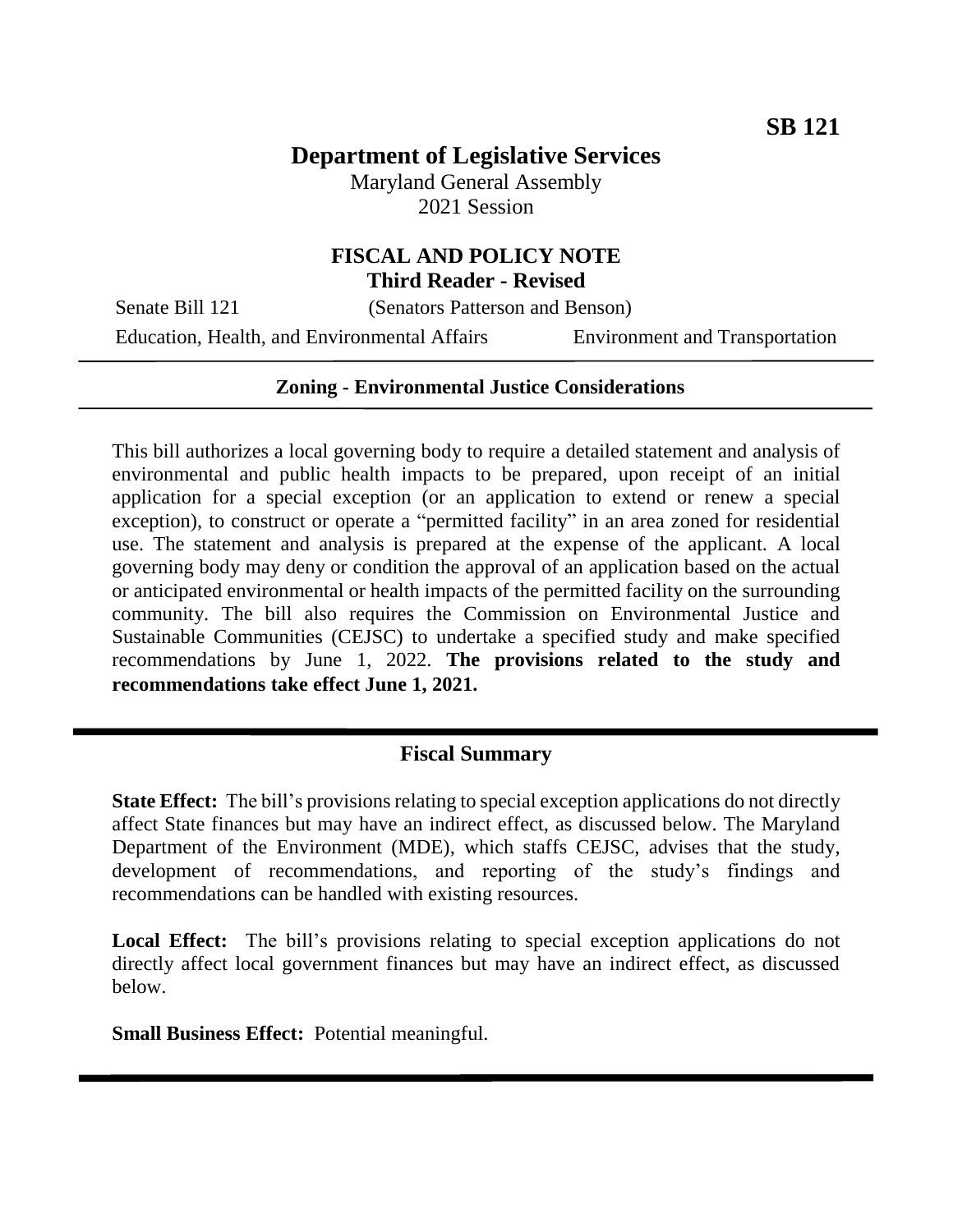# **Department of Legislative Services**

Maryland General Assembly 2021 Session

### **FISCAL AND POLICY NOTE Third Reader - Revised**

Senate Bill 121 (Senators Patterson and Benson)

Education, Health, and Environmental Affairs Environment and Transportation

#### **Zoning - Environmental Justice Considerations**

This bill authorizes a local governing body to require a detailed statement and analysis of environmental and public health impacts to be prepared, upon receipt of an initial application for a special exception (or an application to extend or renew a special exception), to construct or operate a "permitted facility" in an area zoned for residential use. The statement and analysis is prepared at the expense of the applicant. A local governing body may deny or condition the approval of an application based on the actual or anticipated environmental or health impacts of the permitted facility on the surrounding community. The bill also requires the Commission on Environmental Justice and Sustainable Communities (CEJSC) to undertake a specified study and make specified recommendations by June 1, 2022. **The provisions related to the study and recommendations take effect June 1, 2021.**

#### **Fiscal Summary**

**State Effect:** The bill's provisions relating to special exception applications do not directly affect State finances but may have an indirect effect, as discussed below. The Maryland Department of the Environment (MDE), which staffs CEJSC, advises that the study, development of recommendations, and reporting of the study's findings and recommendations can be handled with existing resources.

Local Effect: The bill's provisions relating to special exception applications do not directly affect local government finances but may have an indirect effect, as discussed below.

**Small Business Effect:** Potential meaningful.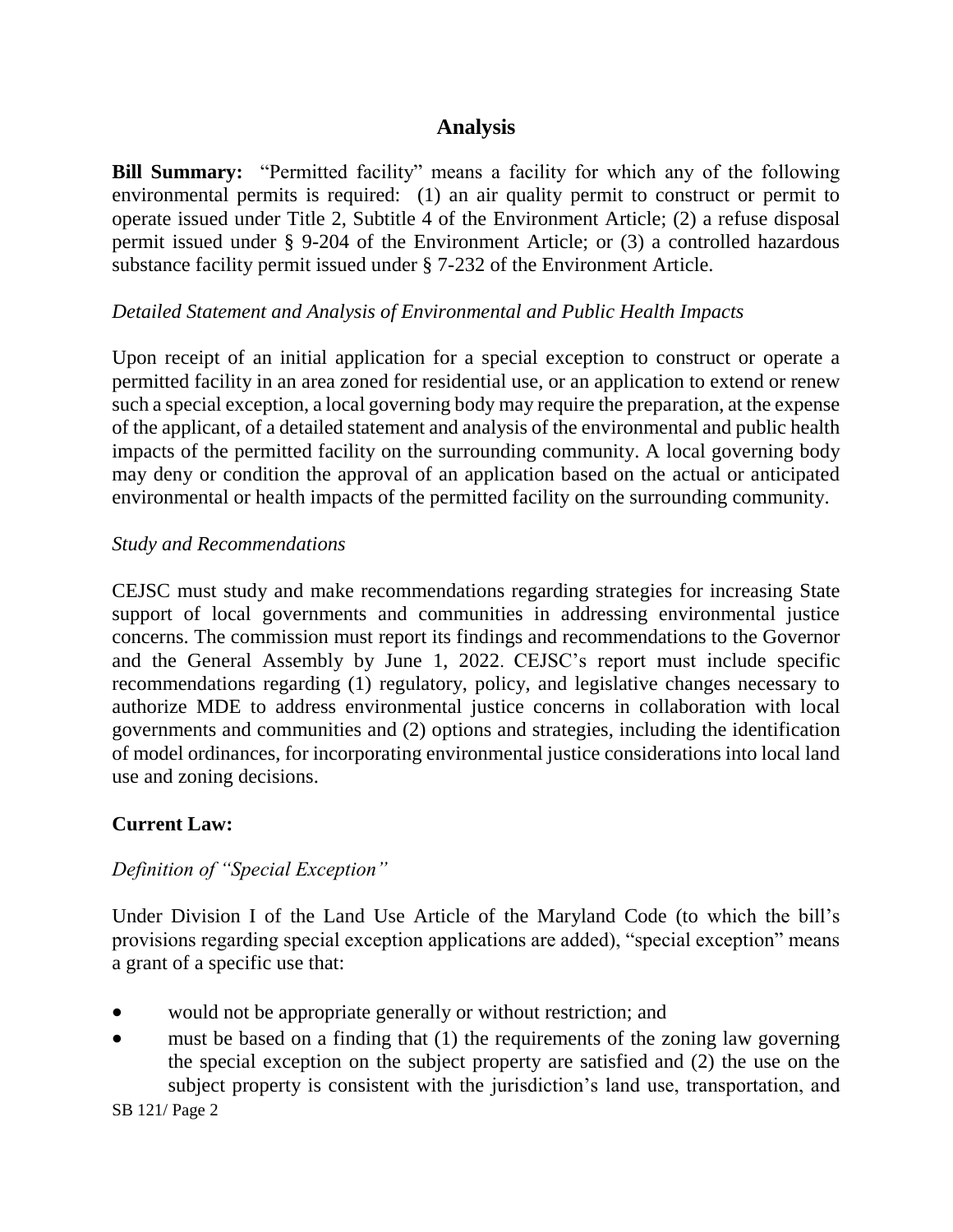## **Analysis**

**Bill Summary:** "Permitted facility" means a facility for which any of the following environmental permits is required: (1) an air quality permit to construct or permit to operate issued under Title 2, Subtitle 4 of the Environment Article; (2) a refuse disposal permit issued under § 9-204 of the Environment Article; or (3) a controlled hazardous substance facility permit issued under § 7-232 of the Environment Article.

### *Detailed Statement and Analysis of Environmental and Public Health Impacts*

Upon receipt of an initial application for a special exception to construct or operate a permitted facility in an area zoned for residential use, or an application to extend or renew such a special exception, a local governing body may require the preparation, at the expense of the applicant, of a detailed statement and analysis of the environmental and public health impacts of the permitted facility on the surrounding community. A local governing body may deny or condition the approval of an application based on the actual or anticipated environmental or health impacts of the permitted facility on the surrounding community.

### *Study and Recommendations*

CEJSC must study and make recommendations regarding strategies for increasing State support of local governments and communities in addressing environmental justice concerns. The commission must report its findings and recommendations to the Governor and the General Assembly by June 1, 2022. CEJSC's report must include specific recommendations regarding (1) regulatory, policy, and legislative changes necessary to authorize MDE to address environmental justice concerns in collaboration with local governments and communities and (2) options and strategies, including the identification of model ordinances, for incorporating environmental justice considerations into local land use and zoning decisions.

## **Current Law:**

## *Definition of "Special Exception"*

Under Division I of the Land Use Article of the Maryland Code (to which the bill's provisions regarding special exception applications are added), "special exception" means a grant of a specific use that:

- would not be appropriate generally or without restriction; and
- must be based on a finding that (1) the requirements of the zoning law governing the special exception on the subject property are satisfied and (2) the use on the subject property is consistent with the jurisdiction's land use, transportation, and

SB 121/ Page 2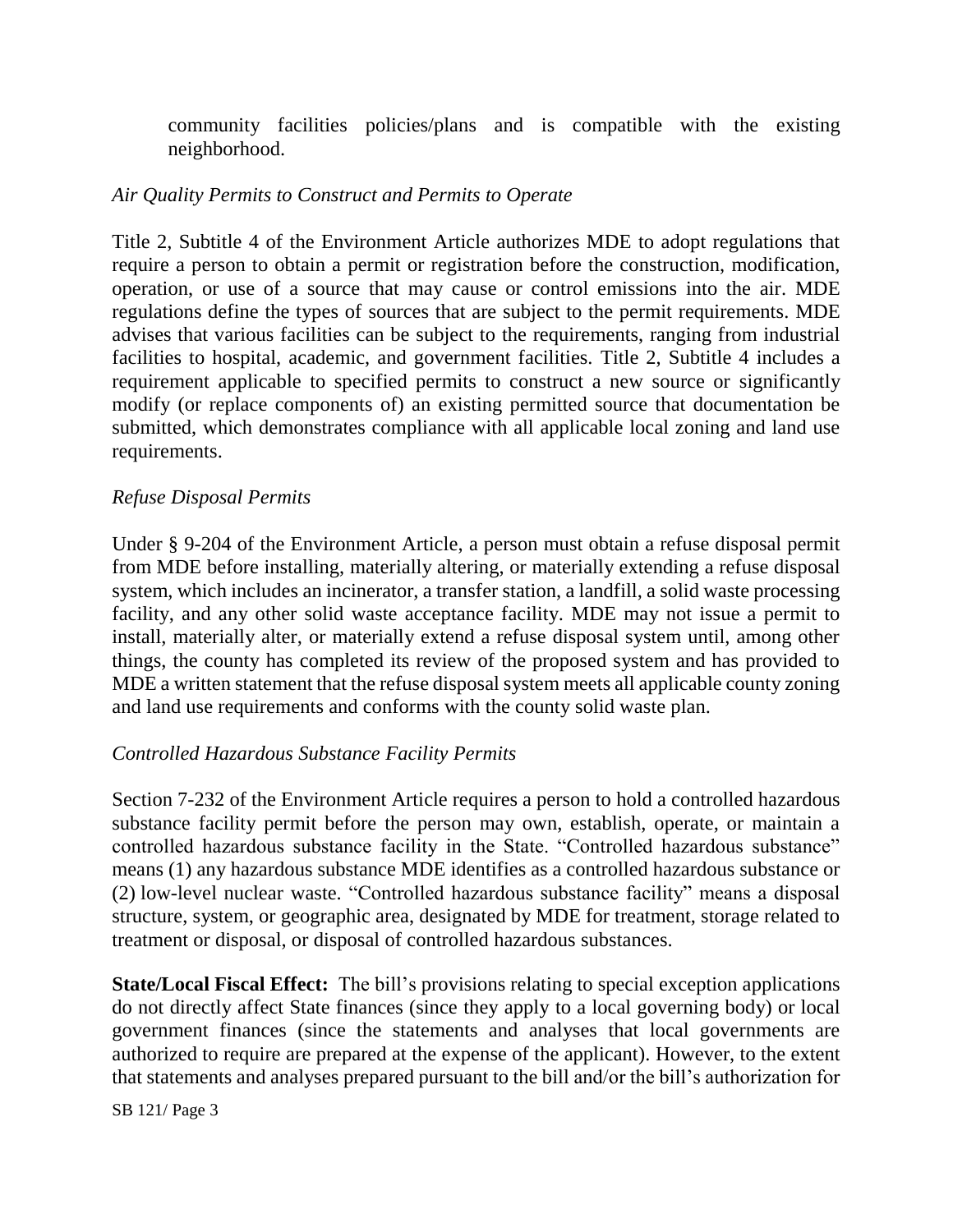community facilities policies/plans and is compatible with the existing neighborhood.

### *Air Quality Permits to Construct and Permits to Operate*

Title 2, Subtitle 4 of the Environment Article authorizes MDE to adopt regulations that require a person to obtain a permit or registration before the construction, modification, operation, or use of a source that may cause or control emissions into the air. MDE regulations define the types of sources that are subject to the permit requirements. MDE advises that various facilities can be subject to the requirements, ranging from industrial facilities to hospital, academic, and government facilities. Title 2, Subtitle 4 includes a requirement applicable to specified permits to construct a new source or significantly modify (or replace components of) an existing permitted source that documentation be submitted, which demonstrates compliance with all applicable local zoning and land use requirements.

#### *Refuse Disposal Permits*

Under § 9-204 of the Environment Article, a person must obtain a refuse disposal permit from MDE before installing, materially altering, or materially extending a refuse disposal system, which includes an incinerator, a transfer station, a landfill, a solid waste processing facility, and any other solid waste acceptance facility. MDE may not issue a permit to install, materially alter, or materially extend a refuse disposal system until, among other things, the county has completed its review of the proposed system and has provided to MDE a written statement that the refuse disposal system meets all applicable county zoning and land use requirements and conforms with the county solid waste plan.

#### *Controlled Hazardous Substance Facility Permits*

Section 7-232 of the Environment Article requires a person to hold a controlled hazardous substance facility permit before the person may own, establish, operate, or maintain a controlled hazardous substance facility in the State. "Controlled hazardous substance" means (1) any hazardous substance MDE identifies as a controlled hazardous substance or (2) low-level nuclear waste. "Controlled hazardous substance facility" means a disposal structure, system, or geographic area, designated by MDE for treatment, storage related to treatment or disposal, or disposal of controlled hazardous substances.

**State/Local Fiscal Effect:** The bill's provisions relating to special exception applications do not directly affect State finances (since they apply to a local governing body) or local government finances (since the statements and analyses that local governments are authorized to require are prepared at the expense of the applicant). However, to the extent that statements and analyses prepared pursuant to the bill and/or the bill's authorization for